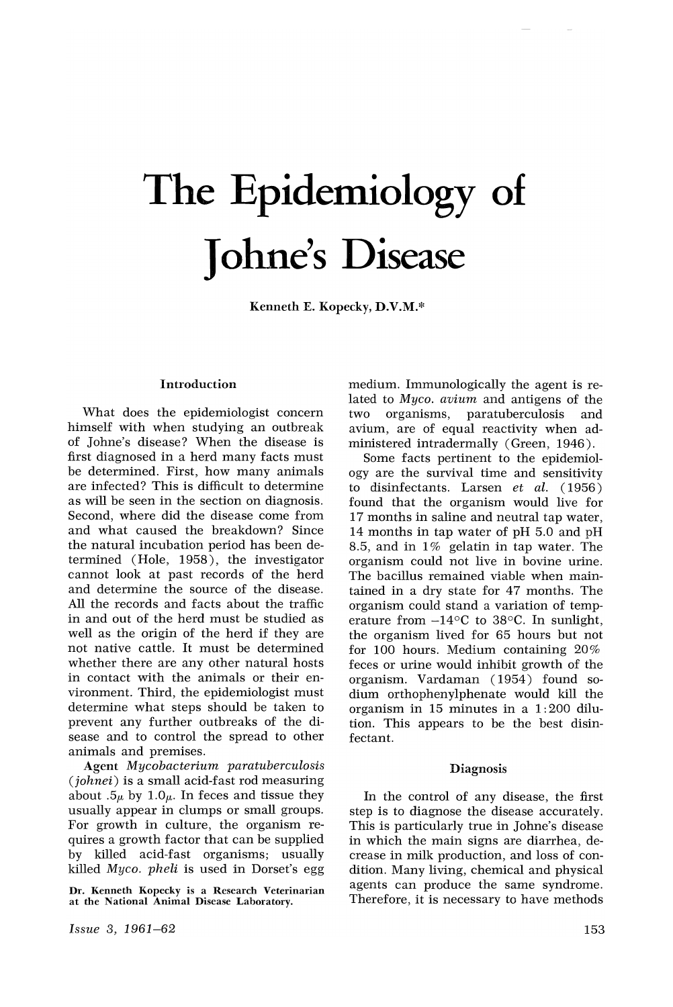# The Epidemiology **of** Johne's Disease

Kenneth E. Kopecky, D.V.M.\*

#### Introduction

What does the epidemiologist concern himself with when studying an outbreak of Johne's disease? When the disease is first diagnosed in a herd many facts must be determined. First, how many animals are infected? This is difficult to determine as will be seen in the section on diagnosis. Second, where did the disease come from and what caused the breakdown? Since the natural incubation period has been determined (Hole, 1958), the investigator cannot look at past records of the herd and determine the source of the disease. All the records and facts about the traffic in and out of the herd must be studied as well as the origin of the herd if they are not native cattle. It must be determined whether there are any other natural hosts in contact with the animals or their environment. Third, the epidemiologist must determine what steps should be taken to prevent any further outbreaks of the disease and to control the spread to other animals and premises.

Agent *Mycobacterium paratuberculosis (johnei)* is a small acid-fast rod measuring about .5 $\mu$  by 1.0 $\mu$ . In feces and tissue they usually appear in clumps or small groups. For growth in culture, the organism requires a growth factor that can be supplied by killed acid-fast organisms; usually killed *Myco. pheli* is used in Dorset's egg

Dr. Kenneth Kopecky is a Research Veterinarian at the National Animal Disease Laboratory.

*Issue* 3, 1961-62

medium. Immunologically the agent is related to *Myco. avium* and antigens of the two organisms, paratuberculosis and two organisms, paratuberculosis and avium, are of equal reactivity when administered intradermally (Green, 1946).

Some facts pertinent to the epidemiology are the survival time and sensitivity to disinfectants. Larsen *et al.* ( 1956) found that the organism would live for 17 months in saline and neutral tap water, 14 months in tap water of pH 5.0 and pH 8.5, and in 1% gelatin in tap water. The organism could not live in bovine urine. The bacillus remained viable when maintained in a dry state for 47 months. The organism could stand a variation of temperature from  $-14^{\circ}$ C to 38 $^{\circ}$ C. In sunlight, the organism lived for 65 hours but not for 100 hours. Medium containing  $20\%$ feces or urine would inhibit growth of the organism. Vardaman (1954) found sodium orthophenylphenate would kill the organism in 15 minutes in a 1: 200 dilution. This appears to be the best disinfectant.

#### Diagnosis

In the control of any disease, the first step is to diagnose the disease accurately. This is particularly true in Johne's disease in which the main signs are diarrhea, decrease in milk production, and loss of condition. Many living, chemical and physical agents can produce the same syndrome. Therefore, it is necessary to have methods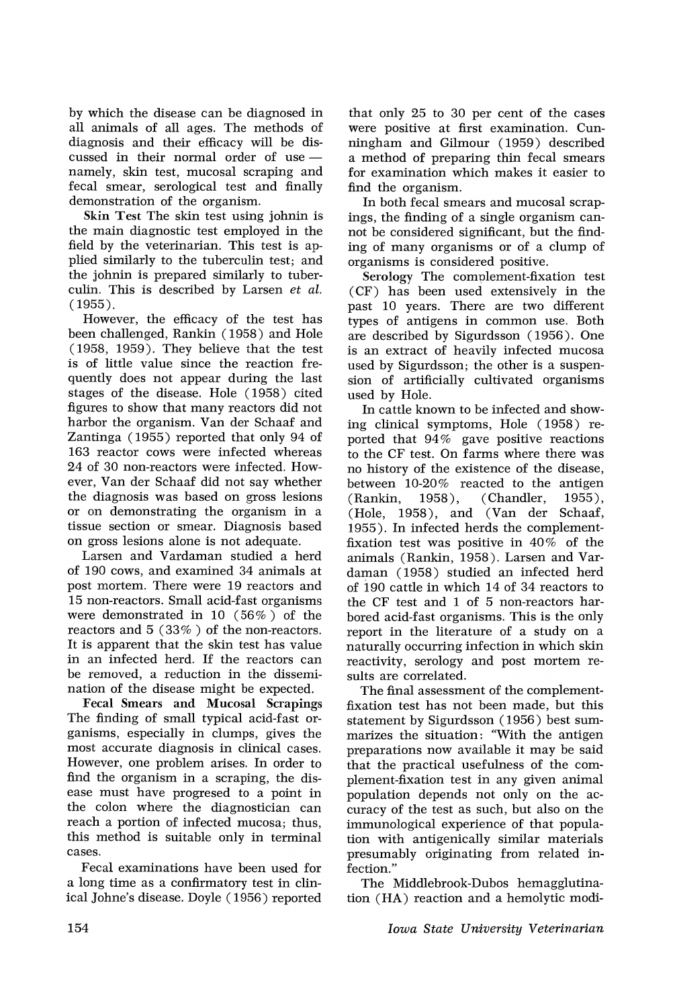by which the disease can be diagnosed in all animals of all ages. The methods of diagnosis and their efficacy will be discussed in their normal order of use  $$ namely, skin test, mucosal scraping and fecal smear, serological test and finally demonstration of the organism.

Skin Test The skin test using johnin is the main diagnostic test employed in the field by the veterinarian. This test is applied similarly to the tuberculin test; and the johnin is prepared similarly to tuberculin. This is described by Larsen *et al.* (1955).

However, the efficacy of the test has been challenged, Rankin (1958) and Hole (1958, 1959). They believe that the test is of little value since the reaction frequently does not appear during the last stages of the disease. Hole (1958) cited figures to show that many reactors did not harbor the organism. Van der Schaaf and Zantinga (1955) reported that only 94 of 163 reactor cows were infected whereas 24 of 30 non-reactors were infected. However, Van der Schaaf did not say whether the diagnosis was based on gross lesions or on demonstrating the organism in a tissue section or smear. Diagnosis based on gross lesions alone is not adequate.

Larsen and Vardaman studied a herd of 190 cows, and examined 34 animals at post mortem. There were 19 reactors and 15 non-reactors. Small acid-fast organisms were demonstrated in 10 (56%) of the reactors and 5 (33% ) of the non-reactors. It is apparent that the skin test has value in an infected herd. If the reactors can be removed, a reduction in the dissemination of the disease might be expected.

Fecal Smears and Mucosal Scrapings The finding of small typical acid-fast organisms, especially in clumps, gives the most accurate diagnosis in clinical cases. However, one problem arises. In order to find the organism in a scraping, the disease must have progresed to a point in the colon where the diagnostician can reach a portion of infected mucosa; thus, this method is suitable only in terminal cases.

Fecal examinations have been used for a long time as a confirmatory test in clinical Johne's disease. Doyle (1956) reported

that only 25 to 30 per cent of the cases were positive at first examination. Cunningham and Gilmour (1959) described a method of preparing thin fecal smears for examination which makes it easier to find the organism.

In both fecal smears and mucosal scrapings, the finding of a single organism cannot be considered significant, but the finding of many organisms or of a clump of organisms is considered positive.

Serology The complement-fixation test (CF) has been used extensively in the past 10 years. There are two different types of antigens in common use. Both are described by Sigurdsson (1956). One is an extract of heavily infected mucosa used by Sigurdsson; the other is a suspension of artificially cultivated organisms used by Hole.

In cattle known to be infected and showing clinical symptoms, Hole (1958) reported that 94% gave positive reactions to the CF test. On farms where there was no history of the existence of the disease, between 10-20% reacted to the antigen (Rankin, 1958), (Chandler, 1955),  $(Hole, 1958)$ , and  $(Van der Schaaf,$ 1955). In infected herds the complementfixation test was positive in  $40\%$  of the animals (Rankin, 1958). Larsen and Vardaman (1958) studied an infected herd of 190 cattle in which 14 of 34 reactors to the CF test and 1 of 5 non-reactors harbored acid-fast organisms. This is the only report in the literature of a study on a naturally occurring infection in which skin reactivity, serology and post mortem results are correlated.

The final assessment of the complementfixation test has not been made, but this statement by Sigurdsson (1956) best summarizes the situation: "With the antigen preparations now available it may be said that the practical usefulness of the complement-fixation test in any given animal population depends not only on the accuracy of the test as such, but also on the immunological experience of that population with antigenically similar materials presumably originating from related infection."

The Middlebrook-Dubos hemagglutination (HA) reaction and a hemolytic modi-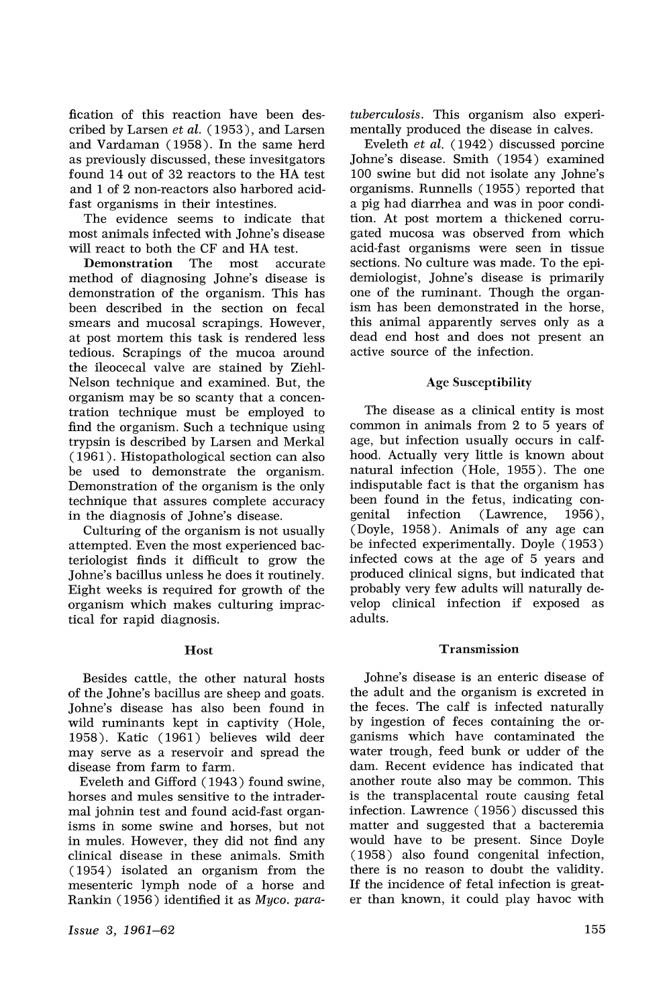fication of this reaction have been described by Larsen *et al.* (1953), and Larsen and Vardaman (1958). In the same herd as previously discussed, these investigators found 14 out of 32 reactors to the HA test and 1 of 2 non-reactors also harbored acidfast organisms in their intestines.

The evidence seems to indicate that most animals infected with Johne's disease will react to both the CF and HA test.

Demonstration The most accurate method of diagnosing Johne's disease is demonstration of the organism. This has been described in the section on fecal smears and mucosal scrapings. However, at post mortem this task is rendered less tedious. Scrapings of the mucoa around the ileocecal valve are stained by Ziehl-Nelson technique and examined. But, the organism may be so scanty that a concentration technique must be employed to find the organism. Such a technique using trypsin is described by Larsen and Merkal ( 1961 ). Histopathological section can also be used to demonstrate the organism. Demonstration of the organism is the only technique that assures complete accuracy in the diagnosis of Johne's disease.

Culturing of the organism is not usually attempted. Even the most experienced bacteriologist finds it difficult to grow the Johne's bacillus unless he does it routinely. Eight weeks is required for growth of the organism which makes culturing impractical for rapid diagnosis.

#### Host

Besides cattle, the other natural hosts of the Johne's bacillus are sheep and goats. Johne's disease has also been found in wild ruminants kept in captivity (Hole, 1958). Katic (1961) believes wild deer may serve as a reservoir and spread the disease from farm to farm.

Eveleth and Gifford (1943) found swine, horses and mules sensitive to the intradermal johnin test and found acid-fast organisms in some swine and horses, but not in mules. However, they did not find any clinical disease in these animals. Smith ( 1954 ) isolated an organism from the mesenteric lymph node of a horse and Rankin (1956) identified it as *Myco. para-*

*Issue* 3, 1961-62

*tuberculosis.* This organism also experimentally produced the disease in calves.

Eveleth *et al.* (1942) discussed porcine Johne's disease. Smith (1954) examined 100 swine but did not isolate any Johne's organisms. Runnells (1955) reported that a pig had diarrhea and was in poor condition. At post mortem a thickened corrugated mucosa was observed from which acid-fast organisms were seen in tissue sections. No culture was made. To the epidemiologist, Johne's disease is primarily one of the ruminant. Though the organism has been demonstrated in the horse, this animal apparently serves only as a dead end host and does not present an active source of the infection.

## Age Susceptibility

The disease as a clinical entity is most common in animals from 2 to 5 years of age, but infection usually occurs in calfhood. Actually very little is known about natural infection (Hole, 1955). The one indisputable fact is that the organism has been found in the fetus, indicating congenital infection (Lawrence, 1956), (Doyle, 1958). Animals of any age can be infected experimentally. Doyle (1953) infected cows at the age of 5 years and produced clinical signs, but indicated that probably very few adults will naturally develop clinical infection if exposed as adults.

#### Transmission

Johne's disease is an enteric disease of the adult and the organism is excreted in the feces. The calf is infected naturally by ingestion of feces containing the organisms which have contaminated the water trough, feed bunk or udder of the dam. Recent evidence has indicated that another route also may be common. This is the transplacental route causing fetal infection. Lawrence (1956) discussed this matter and suggested that a bacteremia would have to be present. Since Doyle  $(1958)$  also found congenital infection, there is no reason to doubt the validity. If the incidence of fetal infection is greater than known, it could play havoc with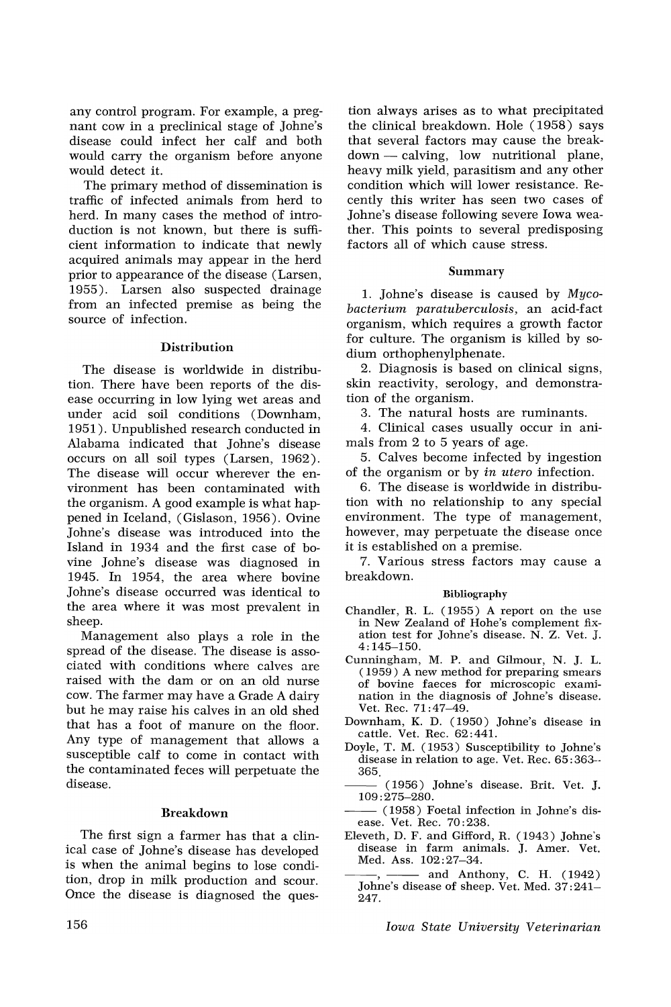any control program. For example, a pregnant cow in a preclinical stage of Johne's disease could infect her calf and both would carry the organism before anyone would detect it.

The primary method of dissemination is traffic of infected animals from herd to herd. In many cases the method of introduction is not known, but there is sufficient information to indicate that newly acquired animals may appear in the herd prior to appearance of the disease (Larsen, 1955). Larsen also suspected drainage from an infected premise as being the source of infection.

#### **Distribution**

The disease is worldwide in distribution. There have been reports of the disease occurring in low lying wet areas and under acid soil conditions (Downham, 1951). Unpublished research conducted in Alabama indicated that Johne's disease occurs on all soil types (Larsen, 1962). The disease will occur wherever the environment has been contaminated with the organism. A good example is what happened in Iceland, (Gislason, 1956). Ovine Johne's disease was introduced into the Island in 1934 and the first case of bovine Johne's disease was diagnosed in 1945. In 1954, the area where bovine Johne's disease occurred was identical to the area where it was most prevalent in sheep.

Management also plays a role in the spread of the disease. The disease is associated \vith conditions \vhere calves are raised with the dam or on an old nurse cow. The farmer may have a Grade A dairy but he may raise his calves in an old shed that has a foot of manure on the floor. Any type of management that allows a susceptible calf to come in contact with the contaminated feces will perpetuate the disease.

#### Breakdown

The first sign a farmer has that a clinical case of Johne's disease has developed is when the animal begins to lose condition, drop in milk production and scour. Once the disease is diagnosed the ques-

tion always arises as to what precipitated the clinical breakdown. Hole (1958) says that several factors may cause the breakdown - calving, low nutritional plane, heavy milk yield, parasitism and any other condition which will lower resistance. Recently this writer has seen two cases of Johne's disease following severe Iowa weather. This points to several predisposing factors all of which cause stress.

## Summary

1. Johne's disease is caused by *Mycobacterium paratuberculosis,* an acid-fact organism, which requires a growth factor for culture. The organism is killed by sodium orthophenylphenate.

2. Diagnosis is based on clinical signs, skin reactivity, serology, and demonstration of the organism.

3. The natural hosts are ruminants.

4. Clinical cases usually occur in animals from 2 to 5 years of age.

5. Calves become infected by ingestion of the organism or by *in utero* infection.

6. The disease is worldwide in distribution with no relationship to any special environment. The type of management, however, may perpetuate the disease once it is established on a premise.

7. Various stress factors may cause a breakdown.

# Bibliography

- Chandler, R. L. (1955) A report on the use in New Zealand of Hohe's complement fixation test for Johne's disease. N. Z. Vet. J. 4:145-150.
- Cunningham, M. P. and Gilmour, N. J. L. (1959) A new method for preparing smears of bovine faeces for microscopic examination in the diagnosis of Johne's disease. Vet. Rec. 71 :47-49.
- Downham, K. D. (1950) Johne's disease in cattle. Vet. Rec. 62:441.
- Doyle, T. M. (1953) Susceptibility to Johne's disease in relation to age. Vet. Rec. 65: 363-- 365.
- (1956) Johne's disease. Brit. Vet. J. 109: 275-280.
- --(1958) Foetal infection in Johne's disease. Vet. Rec. 70:238.
- Eleveth, D. F. and Gifford, R. (1943) Johne's disease in farm animals. J. Amer. Vet. Med. Ass. 102:27-34.
- disease in farm animals. J. Amer. Vet.<br>
Med. Ass.  $102:27-34$ .<br>
and Anthony, C. H. (1942)<br>
Johne's disease of sheep. Vet. Med.  $37:241-$ 247.